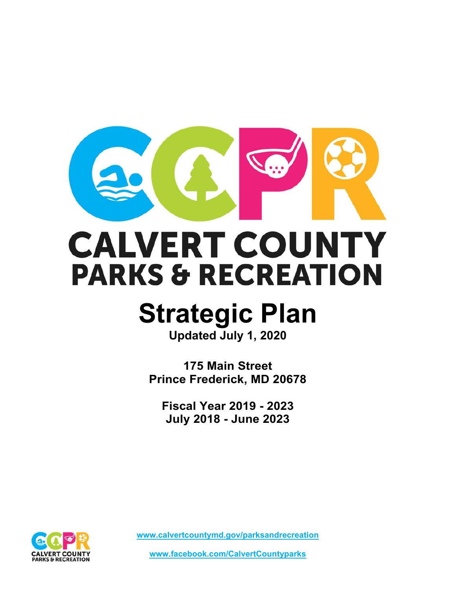

# **CALVERT COUNTY PARKS & RECREATION**

## **Strategic Plan**

**Updated July 1, 2020**

**175 Main Street Prince Frederick, MD 20678** 

**Fiscal Year 2019 - 2023 July 2018 - June 2023** 

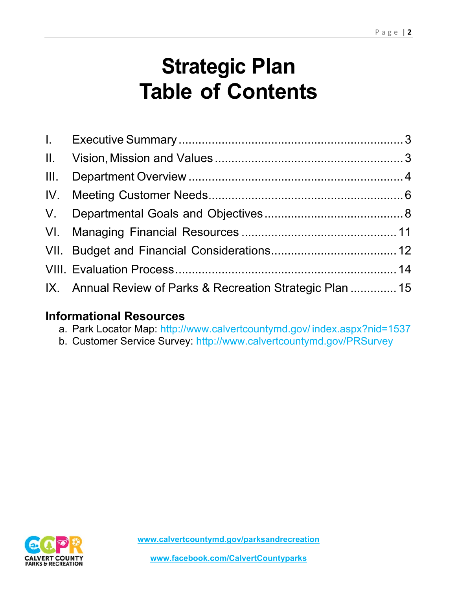## **Strategic Plan Table of Contents**

| IX. Annual Review of Parks & Recreation Strategic Plan  15 |  |
|------------------------------------------------------------|--|

## **Informational Resources**

- a. Park Locator Map: http://www.calvertcountymd.gov/ index.aspx?nid=1537
- b. Customer Service Survey: http://www.calvertcountymd.gov/PRSurvey

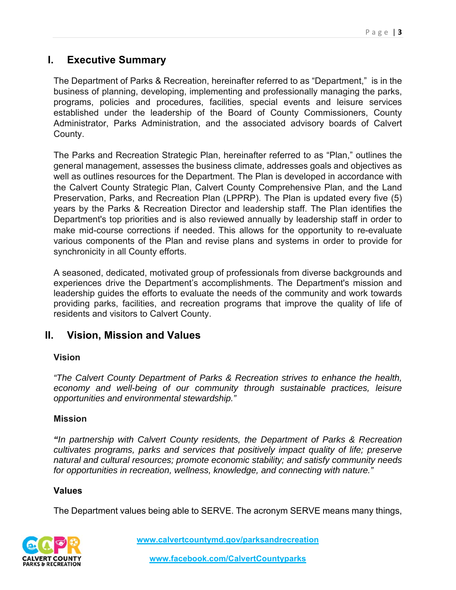## **I. Executive Summary**

The Department of Parks & Recreation, hereinafter referred to as "Department," is in the business of planning, developing, implementing and professionally managing the parks, programs, policies and procedures, facilities, special events and leisure services established under the leadership of the Board of County Commissioners, County Administrator, Parks Administration, and the associated advisory boards of Calvert County.

The Parks and Recreation Strategic Plan, hereinafter referred to as "Plan," outlines the general management, assesses the business climate, addresses goals and objectives as well as outlines resources for the Department. The Plan is developed in accordance with the Calvert County Strategic Plan, Calvert County Comprehensive Plan, and the Land Preservation, Parks, and Recreation Plan (LPPRP). The Plan is updated every five (5) years by the Parks & Recreation Director and leadership staff. The Plan identifies the Department's top priorities and is also reviewed annually by leadership staff in order to make mid-course corrections if needed. This allows for the opportunity to re-evaluate various components of the Plan and revise plans and systems in order to provide for synchronicity in all County efforts.

A seasoned, dedicated, motivated group of professionals from diverse backgrounds and experiences drive the Department's accomplishments. The Department's mission and leadership guides the efforts to evaluate the needs of the community and work towards providing parks, facilities, and recreation programs that improve the quality of life of residents and visitors to Calvert County.

## **II. Vision, Mission and Values**

#### **Vision**

*"The Calvert County Department of Parks & Recreation strives to enhance the health, economy and well-being of our community through sustainable practices, leisure opportunities and environmental stewardship."* 

#### **Mission**

*"In partnership with Calvert County residents, the Department of Parks & Recreation cultivates programs, parks and services that positively impact quality of life; preserve natural and cultural resources; promote economic stability; and satisfy community needs for opportunities in recreation, wellness, knowledge, and connecting with nature."* 

#### **Values**

The Department values being able to SERVE. The acronym SERVE means many things,

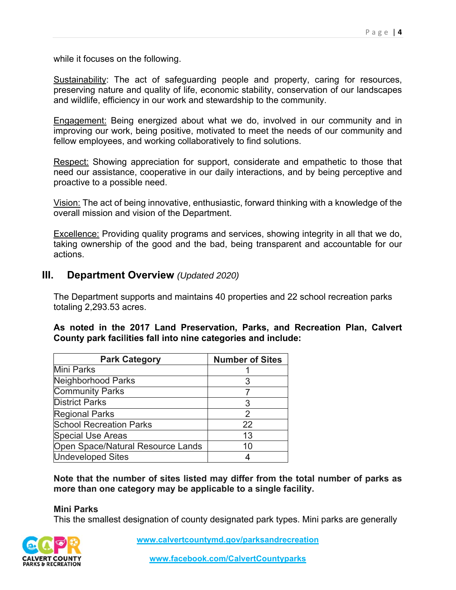while it focuses on the following.

Sustainability: The act of safeguarding people and property, caring for resources, preserving nature and quality of life, economic stability, conservation of our landscapes and wildlife, efficiency in our work and stewardship to the community.

Engagement: Being energized about what we do, involved in our community and in improving our work, being positive, motivated to meet the needs of our community and fellow employees, and working collaboratively to find solutions.

Respect: Showing appreciation for support, considerate and empathetic to those that need our assistance, cooperative in our daily interactions, and by being perceptive and proactive to a possible need.

Vision: The act of being innovative, enthusiastic, forward thinking with a knowledge of the overall mission and vision of the Department.

Excellence: Providing quality programs and services, showing integrity in all that we do, taking ownership of the good and the bad, being transparent and accountable for our actions.

#### **III. Department Overview** *(Updated 2020)*

The Department supports and maintains 40 properties and 22 school recreation parks totaling 2,293.53 acres.

#### **As noted in the 2017 Land Preservation, Parks, and Recreation Plan, Calvert County park facilities fall into nine categories and include:**

| <b>Park Category</b>              | <b>Number of Sites</b> |
|-----------------------------------|------------------------|
| <b>Mini Parks</b>                 |                        |
| Neighborhood Parks                | 3                      |
| <b>Community Parks</b>            |                        |
| <b>District Parks</b>             | 3                      |
| <b>Regional Parks</b>             | 2                      |
| <b>School Recreation Parks</b>    | 22                     |
| <b>Special Use Areas</b>          | 13                     |
| Open Space/Natural Resource Lands | 10                     |
| <b>Undeveloped Sites</b>          |                        |

**Note that the number of sites listed may differ from the total number of parks as more than one category may be applicable to a single facility.** 

#### **Mini Parks**

This the smallest designation of county designated park types. Mini parks are generally

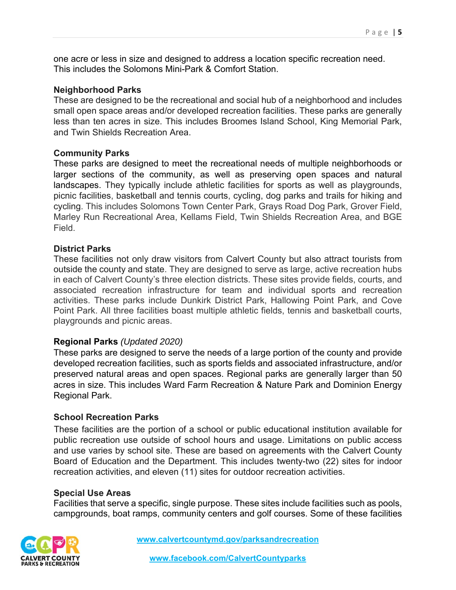one acre or less in size and designed to address a location specific recreation need. This includes the Solomons Mini-Park & Comfort Station.

#### **Neighborhood Parks**

These are designed to be the recreational and social hub of a neighborhood and includes small open space areas and/or developed recreation facilities. These parks are generally less than ten acres in size. This includes Broomes Island School, King Memorial Park, and Twin Shields Recreation Area.

#### **Community Parks**

These parks are designed to meet the recreational needs of multiple neighborhoods or larger sections of the community, as well as preserving open spaces and natural landscapes. They typically include athletic facilities for sports as well as playgrounds, picnic facilities, basketball and tennis courts, cycling, dog parks and trails for hiking and cycling. This includes Solomons Town Center Park, Grays Road Dog Park, Grover Field, Marley Run Recreational Area, Kellams Field, Twin Shields Recreation Area, and BGE Field.

#### **District Parks**

These facilities not only draw visitors from Calvert County but also attract tourists from outside the county and state. They are designed to serve as large, active recreation hubs in each of Calvert County's three election districts. These sites provide fields, courts, and associated recreation infrastructure for team and individual sports and recreation activities. These parks include Dunkirk District Park, Hallowing Point Park, and Cove Point Park. All three facilities boast multiple athletic fields, tennis and basketball courts, playgrounds and picnic areas.

#### **Regional Parks** *(Updated 2020)*

These parks are designed to serve the needs of a large portion of the county and provide developed recreation facilities, such as sports fields and associated infrastructure, and/or preserved natural areas and open spaces. Regional parks are generally larger than 50 acres in size. This includes Ward Farm Recreation & Nature Park and Dominion Energy Regional Park.

#### **School Recreation Parks**

These facilities are the portion of a school or public educational institution available for public recreation use outside of school hours and usage. Limitations on public access and use varies by school site. These are based on agreements with the Calvert County Board of Education and the Department. This includes twenty-two (22) sites for indoor recreation activities, and eleven (11) sites for outdoor recreation activities.

#### **Special Use Areas**

Facilities that serve a specific, single purpose. These sites include facilities such as pools, campgrounds, boat ramps, community centers and golf courses. Some of these facilities

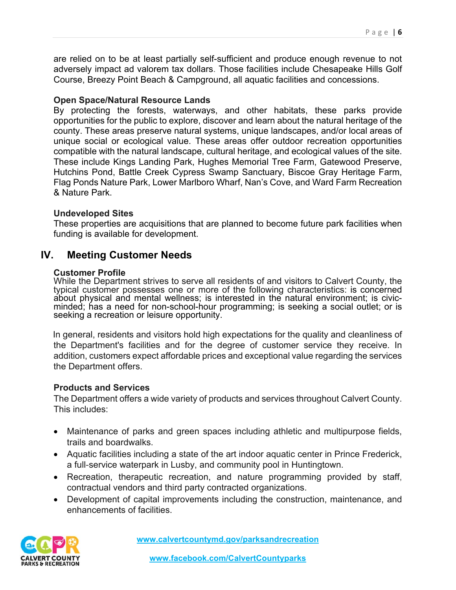are relied on to be at least partially self-sufficient and produce enough revenue to not adversely impact ad valorem tax dollars. Those facilities include Chesapeake Hills Golf Course, Breezy Point Beach & Campground, all aquatic facilities and concessions.

#### **Open Space/Natural Resource Lands**

By protecting the forests, waterways, and other habitats, these parks provide opportunities for the public to explore, discover and learn about the natural heritage of the county. These areas preserve natural systems, unique landscapes, and/or local areas of unique social or ecological value. These areas offer outdoor recreation opportunities compatible with the natural landscape, cultural heritage, and ecological values of the site. These include Kings Landing Park, Hughes Memorial Tree Farm, Gatewood Preserve, Hutchins Pond, Battle Creek Cypress Swamp Sanctuary, Biscoe Gray Heritage Farm, Flag Ponds Nature Park, Lower Marlboro Wharf, Nan's Cove, and Ward Farm Recreation & Nature Park.

#### **Undeveloped Sites**

These properties are acquisitions that are planned to become future park facilities when funding is available for development.

## **IV. Meeting Customer Needs**

#### **Customer Profile**

While the Department strives to serve all residents of and visitors to Calvert County, the typical customer possesses one or more of the following characteristics: is concerned about physical and mental wellness; is interested in the natural environment; is civicminded; has a need for non-school-hour programming; is seeking a social outlet; or is seeking a recreation or leisure opportunity.

In general, residents and visitors hold high expectations for the quality and cleanliness of the Department's facilities and for the degree of customer service they receive. In addition, customers expect affordable prices and exceptional value regarding the services the Department offers.

#### **Products and Services**

The Department offers a wide variety of products and services throughout Calvert County. This includes:

- Maintenance of parks and green spaces including athletic and multipurpose fields, trails and boardwalks.
- Aquatic facilities including a state of the art indoor aquatic center in Prince Frederick, a full-service waterpark in Lusby, and community pool in Huntingtown.
- Recreation, therapeutic recreation, and nature programming provided by staff, contractual vendors and third party contracted organizations.
- Development of capital improvements including the construction, maintenance, and enhancements of facilities.

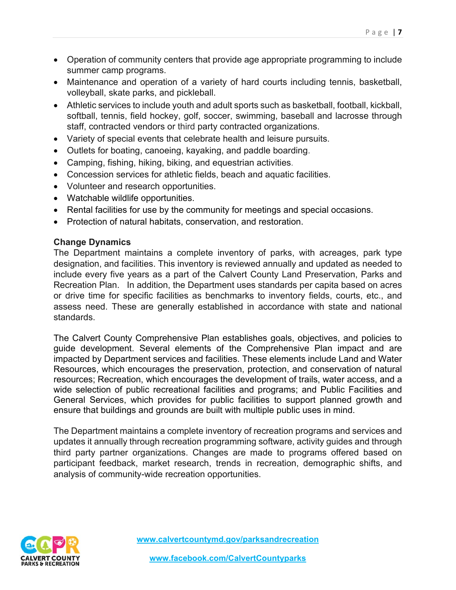- Operation of community centers that provide age appropriate programming to include summer camp programs.
- Maintenance and operation of a variety of hard courts including tennis, basketball, volleyball, skate parks, and pickleball.
- Athletic services to include youth and adult sports such as basketball, football, kickball, softball, tennis, field hockey, golf, soccer, swimming, baseball and lacrosse through staff, contracted vendors or third party contracted organizations.
- Variety of special events that celebrate health and leisure pursuits.
- Outlets for boating, canoeing, kayaking, and paddle boarding.
- Camping, fishing, hiking, biking, and equestrian activities.
- Concession services for athletic fields, beach and aquatic facilities.
- Volunteer and research opportunities.
- Watchable wildlife opportunities.
- Rental facilities for use by the community for meetings and special occasions.
- Protection of natural habitats, conservation, and restoration.

#### **Change Dynamics**

The Department maintains a complete inventory of parks, with acreages, park type designation, and facilities. This inventory is reviewed annually and updated as needed to include every five years as a part of the Calvert County Land Preservation, Parks and Recreation Plan. In addition, the Department uses standards per capita based on acres or drive time for specific facilities as benchmarks to inventory fields, courts, etc., and assess need. These are generally established in accordance with state and national standards.

The Calvert County Comprehensive Plan establishes goals, objectives, and policies to guide development. Several elements of the Comprehensive Plan impact and are impacted by Department services and facilities. These elements include Land and Water Resources, which encourages the preservation, protection, and conservation of natural resources; Recreation, which encourages the development of trails, water access, and a wide selection of public recreational facilities and programs; and Public Facilities and General Services, which provides for public facilities to support planned growth and ensure that buildings and grounds are built with multiple public uses in mind.

The Department maintains a complete inventory of recreation programs and services and updates it annually through recreation programming software, activity guides and through third party partner organizations. Changes are made to programs offered based on participant feedback, market research, trends in recreation, demographic shifts, and analysis of community-wide recreation opportunities.

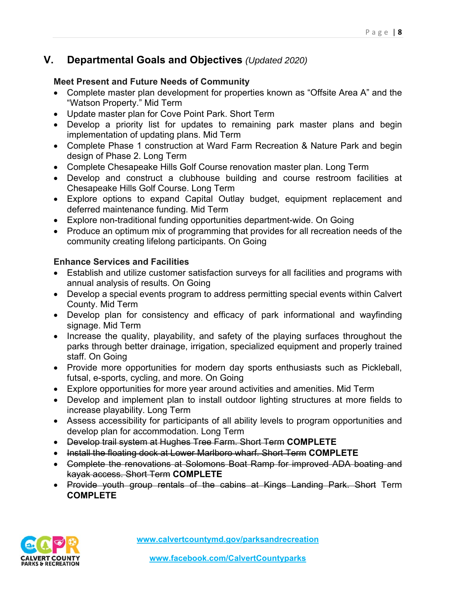## **V. Departmental Goals and Objectives** *(Updated 2020)*

#### **Meet Present and Future Needs of Community**

- Complete master plan development for properties known as "Offsite Area A" and the "Watson Property." Mid Term
- Update master plan for Cove Point Park. Short Term
- Develop a priority list for updates to remaining park master plans and begin implementation of updating plans. Mid Term
- Complete Phase 1 construction at Ward Farm Recreation & Nature Park and begin design of Phase 2. Long Term
- Complete Chesapeake Hills Golf Course renovation master plan. Long Term
- Develop and construct a clubhouse building and course restroom facilities at Chesapeake Hills Golf Course. Long Term
- Explore options to expand Capital Outlay budget, equipment replacement and deferred maintenance funding. Mid Term
- Explore non-traditional funding opportunities department-wide. On Going
- Produce an optimum mix of programming that provides for all recreation needs of the community creating lifelong participants. On Going

#### **Enhance Services and Facilities**

- Establish and utilize customer satisfaction surveys for all facilities and programs with annual analysis of results. On Going
- Develop a special events program to address permitting special events within Calvert County. Mid Term
- Develop plan for consistency and efficacy of park informational and wayfinding signage. Mid Term
- Increase the quality, playability, and safety of the playing surfaces throughout the parks through better drainage, irrigation, specialized equipment and properly trained staff. On Going
- Provide more opportunities for modern day sports enthusiasts such as Pickleball, futsal, e-sports, cycling, and more. On Going
- Explore opportunities for more year around activities and amenities. Mid Term
- Develop and implement plan to install outdoor lighting structures at more fields to increase playability. Long Term
- Assess accessibility for participants of all ability levels to program opportunities and develop plan for accommodation. Long Term
- Develop trail system at Hughes Tree Farm. Short Term **COMPLETE**
- Install the floating dock at Lower Marlboro wharf. Short Term **COMPLETE**
- Complete the renovations at Solomons Boat Ramp for improved ADA boating and kayak access. Short Term **COMPLETE**
- Provide youth group rentals of the cabins at Kings Landing Park. Short Term **COMPLETE**

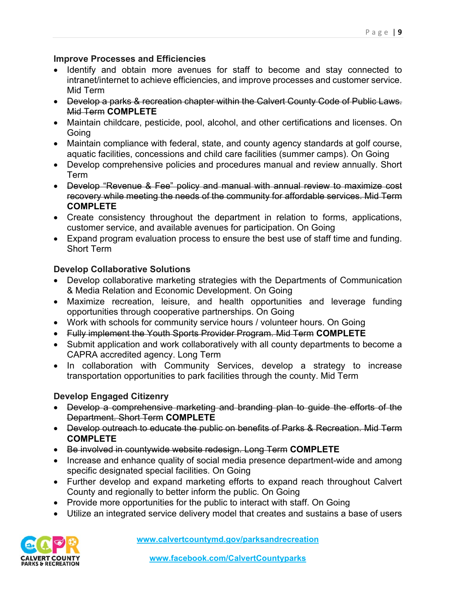#### **Improve Processes and Efficiencies**

- Identify and obtain more avenues for staff to become and stay connected to intranet/internet to achieve efficiencies, and improve processes and customer service. Mid Term
- Develop a parks & recreation chapter within the Calvert County Code of Public Laws. Mid Term **COMPLETE**
- Maintain childcare, pesticide, pool, alcohol, and other certifications and licenses. On Going
- Maintain compliance with federal, state, and county agency standards at golf course, aquatic facilities, concessions and child care facilities (summer camps). On Going
- Develop comprehensive policies and procedures manual and review annually. Short Term
- Develop "Revenue & Fee" policy and manual with annual review to maximize cost recovery while meeting the needs of the community for affordable services. Mid Term **COMPLETE**
- Create consistency throughout the department in relation to forms, applications, customer service, and available avenues for participation. On Going
- Expand program evaluation process to ensure the best use of staff time and funding. Short Term

#### **Develop Collaborative Solutions**

- Develop collaborative marketing strategies with the Departments of Communication & Media Relation and Economic Development. On Going
- Maximize recreation, leisure, and health opportunities and leverage funding opportunities through cooperative partnerships. On Going
- Work with schools for community service hours / volunteer hours. On Going
- Fully implement the Youth Sports Provider Program. Mid Term **COMPLETE**
- Submit application and work collaboratively with all county departments to become a CAPRA accredited agency. Long Term
- In collaboration with Community Services, develop a strategy to increase transportation opportunities to park facilities through the county. Mid Term

#### **Develop Engaged Citizenry**

- Develop a comprehensive marketing and branding plan to guide the efforts of the Department. Short Term **COMPLETE**
- Develop outreach to educate the public on benefits of Parks & Recreation. Mid Term **COMPLETE**
- Be involved in countywide website redesign. Long Term **COMPLETE**
- Increase and enhance quality of social media presence department-wide and among specific designated special facilities. On Going
- Further develop and expand marketing efforts to expand reach throughout Calvert County and regionally to better inform the public. On Going
- Provide more opportunities for the public to interact with staff. On Going
- Utilize an integrated service delivery model that creates and sustains a base of users

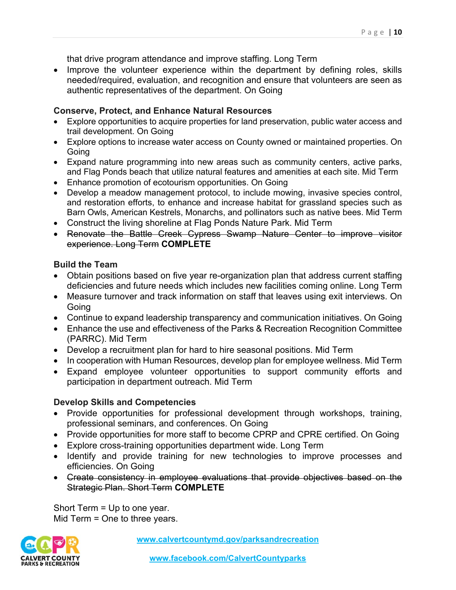that drive program attendance and improve staffing. Long Term

• Improve the volunteer experience within the department by defining roles, skills needed/required, evaluation, and recognition and ensure that volunteers are seen as authentic representatives of the department. On Going

#### **Conserve, Protect, and Enhance Natural Resources**

- Explore opportunities to acquire properties for land preservation, public water access and trail development. On Going
- Explore options to increase water access on County owned or maintained properties. On **Going**
- Expand nature programming into new areas such as community centers, active parks, and Flag Ponds beach that utilize natural features and amenities at each site. Mid Term
- Enhance promotion of ecotourism opportunities. On Going
- Develop a meadow management protocol, to include mowing, invasive species control, and restoration efforts, to enhance and increase habitat for grassland species such as Barn Owls, American Kestrels, Monarchs, and pollinators such as native bees. Mid Term
- Construct the living shoreline at Flag Ponds Nature Park. Mid Term
- Renovate the Battle Creek Cypress Swamp Nature Center to improve visitor experience. Long Term **COMPLETE**

#### **Build the Team**

- Obtain positions based on five year re-organization plan that address current staffing deficiencies and future needs which includes new facilities coming online. Long Term
- Measure turnover and track information on staff that leaves using exit interviews. On Going
- Continue to expand leadership transparency and communication initiatives. On Going
- Enhance the use and effectiveness of the Parks & Recreation Recognition Committee (PARRC). Mid Term
- Develop a recruitment plan for hard to hire seasonal positions. Mid Term
- In cooperation with Human Resources, develop plan for employee wellness. Mid Term
- Expand employee volunteer opportunities to support community efforts and participation in department outreach. Mid Term

#### **Develop Skills and Competencies**

- Provide opportunities for professional development through workshops, training, professional seminars, and conferences. On Going
- Provide opportunities for more staff to become CPRP and CPRE certified. On Going
- Explore cross-training opportunities department wide. Long Term
- Identify and provide training for new technologies to improve processes and efficiencies. On Going
- Create consistency in employee evaluations that provide objectives based on the Strategic Plan. Short Term **COMPLETE**

Short Term = Up to one year. Mid Term = One to three years.

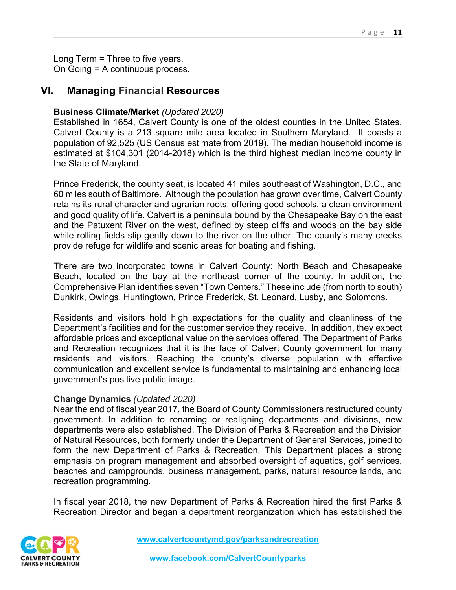Long Term = Three to five years. On Going = A continuous process.

#### **VI. Managing Financial Resources**

#### **Business Climate/Market** *(Updated 2020)*

Established in 1654, Calvert County is one of the oldest counties in the United States. Calvert County is a 213 square mile area located in Southern Maryland. It boasts a population of 92,525 (US Census estimate from 2019). The median household income is estimated at \$104,301 (2014-2018) which is the third highest median income county in the State of Maryland.

Prince Frederick, the county seat, is located 41 miles southeast of Washington, D.C., and 60 miles south of Baltimore. Although the population has grown over time, Calvert County retains its rural character and agrarian roots, offering good schools, a clean environment and good quality of life. Calvert is a peninsula bound by the Chesapeake Bay on the east and the Patuxent River on the west, defined by steep cliffs and woods on the bay side while rolling fields slip gently down to the river on the other. The county's many creeks provide refuge for wildlife and scenic areas for boating and fishing.

There are two incorporated towns in Calvert County: North Beach and Chesapeake Beach, located on the bay at the northeast corner of the county. In addition, the Comprehensive Plan identifies seven "Town Centers." These include (from north to south) Dunkirk, Owings, Huntingtown, Prince Frederick, St. Leonard, Lusby, and Solomons.

Residents and visitors hold high expectations for the quality and cleanliness of the Department's facilities and for the customer service they receive. In addition, they expect affordable prices and exceptional value on the services offered. The Department of Parks and Recreation recognizes that it is the face of Calvert County government for many residents and visitors. Reaching the county's diverse population with effective communication and excellent service is fundamental to maintaining and enhancing local government's positive public image.

#### **Change Dynamics** *(Updated 2020)*

Near the end of fiscal year 2017, the Board of County Commissioners restructured county government. In addition to renaming or realigning departments and divisions, new departments were also established. The Division of Parks & Recreation and the Division of Natural Resources, both formerly under the Department of General Services, joined to form the new Department of Parks & Recreation. This Department places a strong emphasis on program management and absorbed oversight of aquatics, golf services, beaches and campgrounds, business management, parks, natural resource lands, and recreation programming.

In fiscal year 2018, the new Department of Parks & Recreation hired the first Parks & Recreation Director and began a department reorganization which has established the

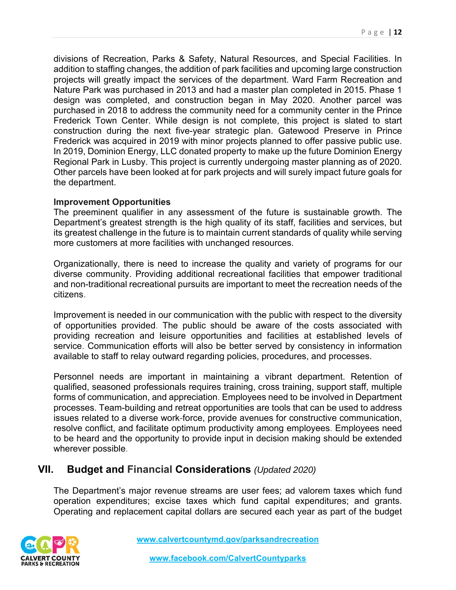divisions of Recreation, Parks & Safety, Natural Resources, and Special Facilities. In addition to staffing changes, the addition of park facilities and upcoming large construction projects will greatly impact the services of the department. Ward Farm Recreation and Nature Park was purchased in 2013 and had a master plan completed in 2015. Phase 1 design was completed, and construction began in May 2020. Another parcel was purchased in 2018 to address the community need for a community center in the Prince Frederick Town Center. While design is not complete, this project is slated to start construction during the next five-year strategic plan. Gatewood Preserve in Prince Frederick was acquired in 2019 with minor projects planned to offer passive public use. In 2019, Dominion Energy, LLC donated property to make up the future Dominion Energy Regional Park in Lusby. This project is currently undergoing master planning as of 2020. Other parcels have been looked at for park projects and will surely impact future goals for the department.

#### **Improvement Opportunities**

The preeminent qualifier in any assessment of the future is sustainable growth. The Department's greatest strength is the high quality of its staff, facilities and services, but its greatest challenge in the future is to maintain current standards of quality while serving more customers at more facilities with unchanged resources.

Organizationally, there is need to increase the quality and variety of programs for our diverse community. Providing additional recreational facilities that empower traditional and non-traditional recreational pursuits are important to meet the recreation needs of the citizens.

Improvement is needed in our communication with the public with respect to the diversity of opportunities provided. The public should be aware of the costs associated with providing recreation and leisure opportunities and facilities at established levels of service. Communication efforts will also be better served by consistency in information available to staff to relay outward regarding policies, procedures, and processes.

Personnel needs are important in maintaining a vibrant department. Retention of qualified, seasoned professionals requires training, cross training, support staff, multiple forms of communication, and appreciation. Employees need to be involved in Department processes. Team-building and retreat opportunities are tools that can be used to address issues related to a diverse work-force, provide avenues for constructive communication, resolve conflict, and facilitate optimum productivity among employees. Employees need to be heard and the opportunity to provide input in decision making should be extended wherever possible.

#### **VII. Budget and Financial Considerations** *(Updated 2020)*

The Department's major revenue streams are user fees; ad valorem taxes which fund operation expenditures; excise taxes which fund capital expenditures; and grants. Operating and replacement capital dollars are secured each year as part of the budget

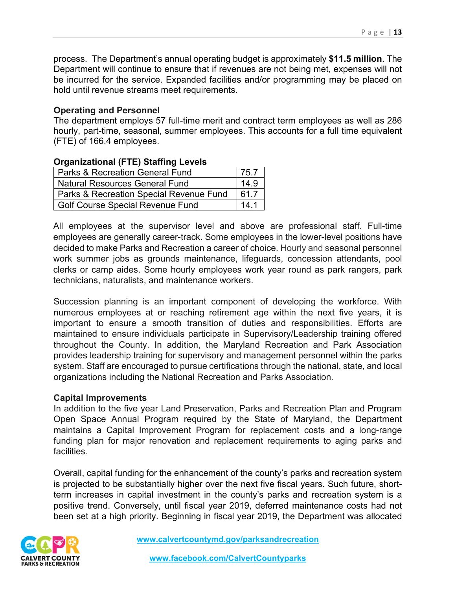process. The Department's annual operating budget is approximately **\$11.5 million**. The Department will continue to ensure that if revenues are not being met, expenses will not be incurred for the service. Expanded facilities and/or programming may be placed on hold until revenue streams meet requirements.

#### **Operating and Personnel**

The department employs 57 full-time merit and contract term employees as well as 286 hourly, part-time, seasonal, summer employees. This accounts for a full time equivalent (FTE) of 166.4 employees.

#### **Organizational (FTE) Staffing Levels**

| Parks & Recreation General Fund         | 75.7 |  |
|-----------------------------------------|------|--|
| <b>Natural Resources General Fund</b>   |      |  |
| Parks & Recreation Special Revenue Fund |      |  |
| Golf Course Special Revenue Fund        |      |  |

All employees at the supervisor level and above are professional staff. Full-time employees are generally career-track. Some employees in the lower-level positions have decided to make Parks and Recreation a career of choice. Hourly and seasonal personnel work summer jobs as grounds maintenance, lifeguards, concession attendants, pool clerks or camp aides. Some hourly employees work year round as park rangers, park technicians, naturalists, and maintenance workers.

Succession planning is an important component of developing the workforce. With numerous employees at or reaching retirement age within the next five years, it is important to ensure a smooth transition of duties and responsibilities. Efforts are maintained to ensure individuals participate in Supervisory/Leadership training offered throughout the County. In addition, the Maryland Recreation and Park Association provides leadership training for supervisory and management personnel within the parks system. Staff are encouraged to pursue certifications through the national, state, and local organizations including the National Recreation and Parks Association.

#### **Capital Improvements**

In addition to the five year Land Preservation, Parks and Recreation Plan and Program Open Space Annual Program required by the State of Maryland, the Department maintains a Capital Improvement Program for replacement costs and a long-range funding plan for major renovation and replacement requirements to aging parks and facilities.

Overall, capital funding for the enhancement of the county's parks and recreation system is projected to be substantially higher over the next five fiscal years. Such future, shortterm increases in capital investment in the county's parks and recreation system is a positive trend. Conversely, until fiscal year 2019, deferred maintenance costs had not been set at a high priority. Beginning in fiscal year 2019, the Department was allocated

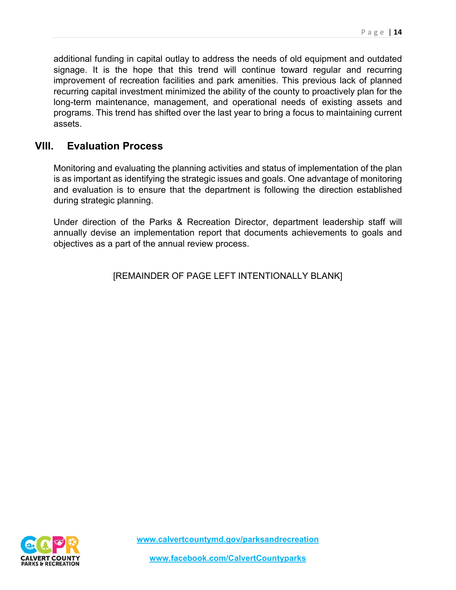additional funding in capital outlay to address the needs of old equipment and outdated signage. It is the hope that this trend will continue toward regular and recurring improvement of recreation facilities and park amenities. This previous lack of planned recurring capital investment minimized the ability of the county to proactively plan for the long-term maintenance, management, and operational needs of existing assets and programs. This trend has shifted over the last year to bring a focus to maintaining current assets.

### **VIII. Evaluation Process**

Monitoring and evaluating the planning activities and status of implementation of the plan is as important as identifying the strategic issues and goals. One advantage of monitoring and evaluation is to ensure that the department is following the direction established during strategic planning.

Under direction of the Parks & Recreation Director, department leadership staff will annually devise an implementation report that documents achievements to goals and objectives as a part of the annual review process.

[REMAINDER OF PAGE LEFT INTENTIONALLY BLANK]